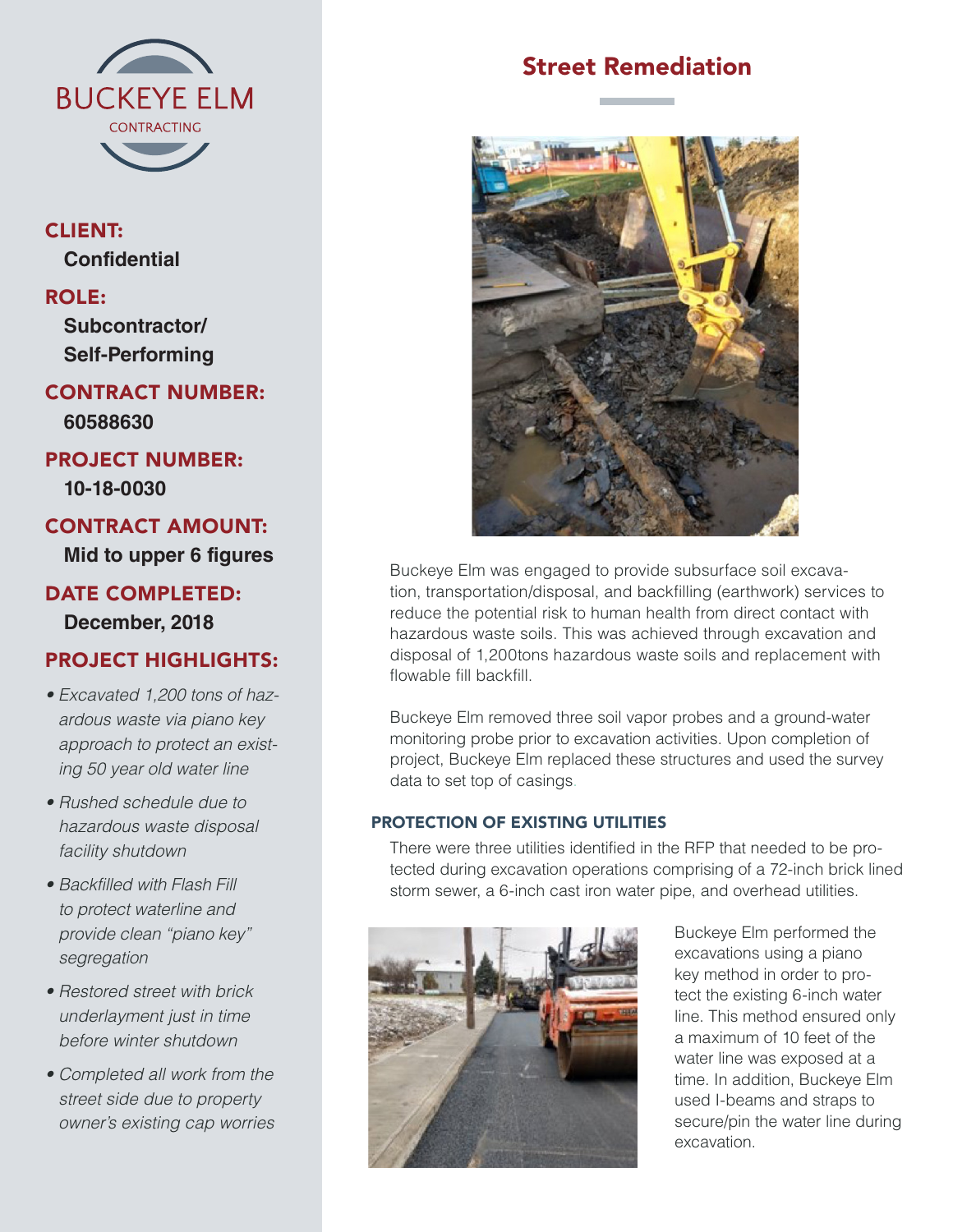

## CLIENT: **Confidential**

### ROLE:

**Subcontractor/ Self-Performing**

CONTRACT NUMBER: **60588630**

# PROJECT NUMBER:

**10-18-0030**

## CONTRACT AMOUNT:

**Mid to upper 6 figures** 

## DATE COMPLETED: **December, 2018**

## PROJECT HIGHLIGHTS:

- *Excavated 1,200 tons of hazardous waste via piano key approach to protect an existing 50 year old water line*
- *Rushed schedule due to hazardous waste disposal facility shutdown*
- *Backfilled with Flash Fill to protect waterline and provide clean "piano key" segregation*
- *Restored street with brick underlayment just in time before winter shutdown*
- *Completed all work from the street side due to property owner's existing cap worries*

## Street Remediation



Buckeye Elm was engaged to provide subsurface soil excavation, transportation/disposal, and backfilling (earthwork) services to reduce the potential risk to human health from direct contact with hazardous waste soils. This was achieved through excavation and disposal of 1,200tons hazardous waste soils and replacement with flowable fill backfill.

Buckeye Elm removed three soil vapor probes and a ground-water monitoring probe prior to excavation activities. Upon completion of project, Buckeye Elm replaced these structures and used the survey data to set top of casings.

### PROTECTION OF EXISTING UTILITIES

There were three utilities identified in the RFP that needed to be protected during excavation operations comprising of a 72-inch brick lined storm sewer, a 6-inch cast iron water pipe, and overhead utilities.



Buckeye Elm performed the excavations using a piano key method in order to protect the existing 6-inch water line. This method ensured only a maximum of 10 feet of the water line was exposed at a time. In addition, Buckeye Elm used I-beams and straps to secure/pin the water line during excavation.